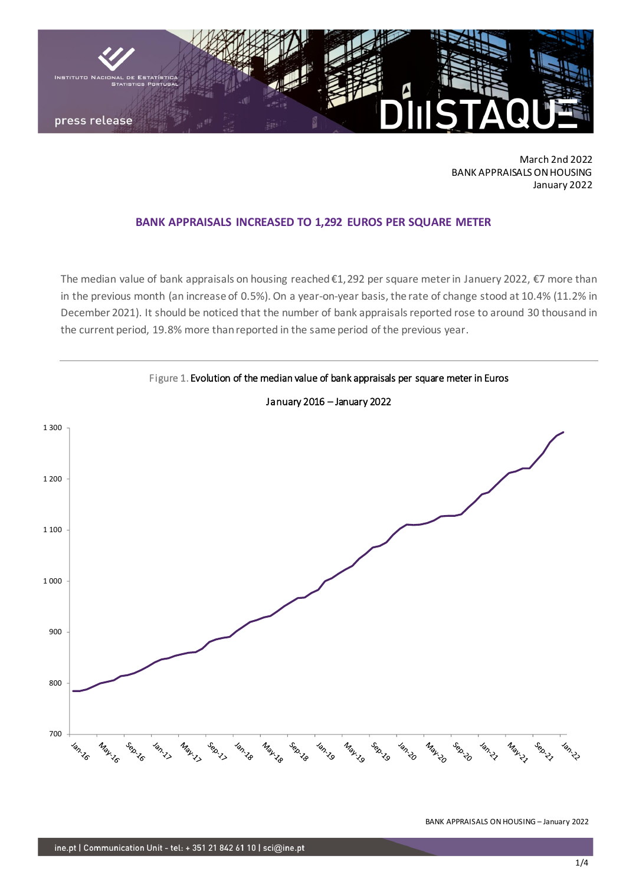

March 2nd 2022 BANK APPRAISALS ON HOUSING January 2022

## **BANK APPRAISALS INCREASED TO 1,292 EUROS PER SQUARE METER**

The median value of bank appraisals on housing reached €1,292 per square meter in Januery 2022, €7 more than in the previous month (an increase of 0.5%). On a year-on-year basis, the rate of change stood at 10.4% (11.2% in December 2021). It should be noticed that the number of bank appraisals reported rose to around 30 thousand in the current period, 19.8% more than reported in the same period of the previous year.



BANK APPRAISALS ON HOUSING – January 2022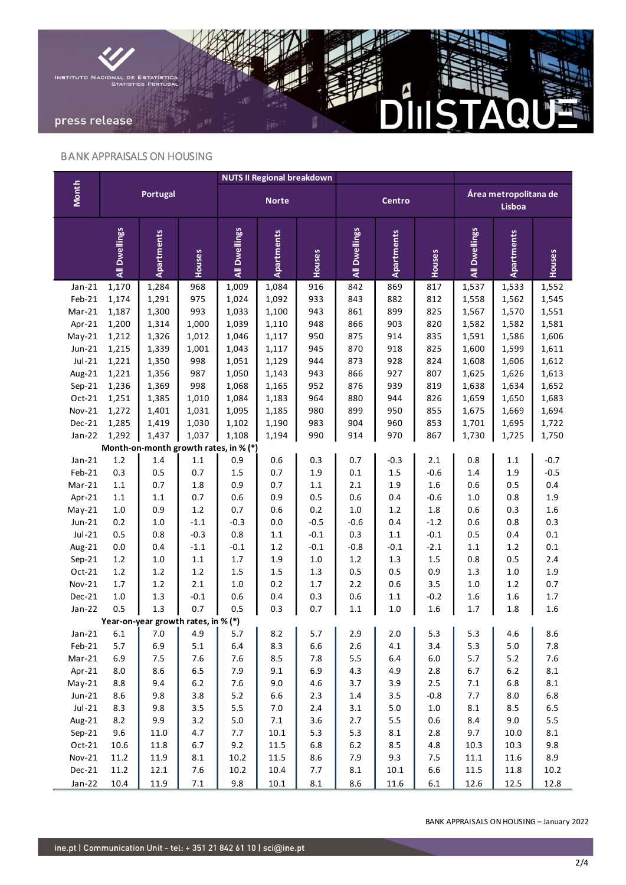

## BANK APPRAISALS ON HOUSING

|                                       | <b>Portugal</b> |                                     |                   |                 | <b>NUTS II Regional breakdown</b> |                   |               |                   |               |                                 |            |            |
|---------------------------------------|-----------------|-------------------------------------|-------------------|-----------------|-----------------------------------|-------------------|---------------|-------------------|---------------|---------------------------------|------------|------------|
| <b>Month</b>                          |                 |                                     |                   | <b>Norte</b>    |                                   |                   | Centro        |                   |               | Área metropolitana de<br>Lisboa |            |            |
|                                       | All Dwellings   | Apartments                          | Houses            | All Dwellings   | <b>Apartments</b>                 | Houses            | All Dwellings | <b>Apartments</b> | Houses        | All Dwellings                   | Apartments | Houses     |
| $Jan-21$                              | 1,170           | 1,284                               | 968               | 1,009           | 1,084                             | 916               | 842           | 869               | 817           | 1,537                           | 1,533      | 1,552      |
| Feb-21                                | 1,174           | 1,291                               | 975               | 1,024           | 1,092                             | 933               | 843           | 882               | 812           | 1,558                           | 1,562      | 1,545      |
| Mar-21                                | 1,187           | 1,300                               | 993               | 1,033           | 1,100                             | 943               | 861           | 899               | 825           | 1,567                           | 1,570      | 1,551      |
| Apr-21                                | 1,200           | 1,314                               | 1,000             | 1,039           | 1,110                             | 948               | 866           | 903               | 820           | 1,582                           | 1,582      | 1,581      |
| $May-21$                              | 1,212           | 1,326                               | 1,012             | 1,046           | 1,117                             | 950               | 875           | 914               | 835           | 1,591                           | 1,586      | 1,606      |
| $Jun-21$                              | 1,215           | 1,339                               | 1,001             | 1,043           | 1,117                             | 945               | 870           | 918               | 825           | 1,600                           | 1,599      | 1,611      |
| $Jul-21$                              | 1,221           | 1,350                               | 998               | 1,051           | 1,129                             | 944               | 873           | 928               | 824           | 1,608                           | 1,606      | 1,612      |
| Aug-21                                | 1,221           | 1,356                               | 987               | 1,050           | 1,143                             | 943               | 866           | 927               | 807           | 1,625                           | 1,626      | 1,613      |
| $Sep-21$                              | 1,236           | 1,369                               | 998               | 1,068           | 1,165                             | 952               | 876           | 939               | 819           | 1,638                           | 1,634      | 1,652      |
| Oct-21                                | 1,251           | 1,385                               | 1,010             | 1,084           | 1,183                             | 964               | 880           | 944               | 826           | 1,659                           | 1,650      | 1,683      |
| <b>Nov-21</b>                         | 1,272           | 1,401                               | 1,031             | 1,095           | 1,185                             | 980               | 899           | 950               | 855           | 1,675                           | 1,669      | 1,694      |
| Dec-21                                | 1,285           | 1,419                               | 1,030             | 1,102           | 1,190                             | 983               | 904           | 960               | 853           | 1,701                           | 1,695      | 1,722      |
| $Jan-22$                              | 1,292           | 1,437                               | 1,037             | 1,108           | 1,194                             | 990               | 914           | 970               | 867           | 1,730                           | 1,725      | 1,750      |
| Month-on-month growth rates, in % (*) |                 |                                     |                   |                 |                                   |                   |               |                   |               |                                 |            |            |
| $Jan-21$                              | $1.2\,$         | 1.4                                 | $1.1\,$           | 0.9             | $0.6\,$                           | 0.3               | 0.7           | $-0.3$            | 2.1           | 0.8                             | 1.1        | $-0.7$     |
| Feb-21                                | 0.3             | 0.5                                 | 0.7               | 1.5             | 0.7                               | 1.9               | 0.1           | 1.5               | $-0.6$        | 1.4                             | 1.9        | $-0.5$     |
| Mar-21                                | $1.1\,$         | 0.7                                 | 1.8               | 0.9             | 0.7                               | $1.1\,$           | 2.1           | 1.9               | 1.6           | 0.6                             | 0.5        | 0.4        |
| Apr-21                                | $1.1\,$         | $1.1\,$                             | 0.7               | 0.6             | 0.9                               | 0.5               | 0.6           | 0.4               | $-0.6$        | 1.0                             | 0.8        | 1.9        |
| $May-21$                              | $1.0\,$         | 0.9                                 | 1.2               | 0.7             | 0.6                               | 0.2               | $1.0\,$       | 1.2               | 1.8           | 0.6                             | 0.3        | 1.6        |
| $Jun-21$                              | 0.2             | $1.0\,$                             | $-1.1$            | $-0.3$          | $0.0\,$                           | $-0.5$            | $-0.6$        | 0.4               | $-1.2$        | 0.6                             | 0.8        | 0.3        |
| $Jul-21$                              | 0.5             | 0.8                                 | $-0.3$            | 0.8             | $1.1\,$                           | $-0.1$            | 0.3           | $1.1\,$           | $-0.1$        | 0.5                             | 0.4        | 0.1        |
| Aug-21                                | 0.0<br>1.2      | 0.4<br>$1.0\,$                      | $-1.1$<br>$1.1\,$ | $-0.1$<br>$1.7$ | $1.2\,$<br>1.9                    | $-0.1$<br>$1.0\,$ | $-0.8$<br>1.2 | $-0.1$<br>1.3     | $-2.1$<br>1.5 | 1.1<br>0.8                      | 1.2<br>0.5 | 0.1<br>2.4 |
| $Sep-21$<br>Oct-21                    | 1.2             | 1.2                                 | 1.2               | 1.5             | 1.5                               | 1.3               | 0.5           | 0.5               | 0.9           | 1.3                             | 1.0        | 1.9        |
| <b>Nov-21</b>                         | $1.7$           | 1.2                                 | 2.1               | 1.0             | 0.2                               | $1.7$             | 2.2           | 0.6               | 3.5           | 1.0                             | 1.2        | 0.7        |
| Dec-21                                | $1.0\,$         | 1.3                                 | $-0.1$            | 0.6             | 0.4                               | 0.3               | 0.6           | 1.1               | $-0.2$        | 1.6                             | 1.6        | 1.7        |
| $Jan-22$                              | 0.5             | 1.3                                 | 0.7               | 0.5             | 0.3                               | 0.7               | $1.1\,$       | $1.0\,$           | $1.6\,$       | 1.7                             | 1.8        | 1.6        |
|                                       |                 | Year-on-year growth rates, in % (*) |                   |                 |                                   |                   |               |                   |               |                                 |            |            |
| $Jan-21$                              | 6.1             | $7.0$                               | 4.9               | 5.7             | 8.2                               | 5.7               | 2.9           | 2.0               | 5.3           | 5.3                             | 4.6        | 8.6        |
| $Feb-21$                              | 5.7             | 6.9                                 | 5.1               | 6.4             | 8.3                               | $6.6\,$           | 2.6           | 4.1               | 3.4           | 5.3                             | 5.0        | 7.8        |
| $Mar-21$                              | 6.9             | $7.5$                               | 7.6               | 7.6             | 8.5                               | 7.8               | 5.5           | $6.4\,$           | $6.0\,$       | 5.7                             | $5.2\,$    | 7.6        |
| Apr-21                                | $8.0\,$         | $8.6\,$                             | 6.5               | 7.9             | 9.1                               | 6.9               | 4.3           | 4.9               | $2.8\,$       | 6.7                             | $6.2\,$    | $\bf 8.1$  |
| $May-21$                              | 8.8             | 9.4                                 | $6.2$             | 7.6             | 9.0                               | $4.6\,$           | 3.7           | 3.9               | $2.5\,$       | $7.1\,$                         | 6.8        | $\bf 8.1$  |
| $Jun-21$                              | 8.6             | 9.8                                 | 3.8               | $5.2$           | $6.6\,$                           | $2.3$             | $1.4\,$       | 3.5               | $-0.8$        | 7.7                             | 8.0        | $6.8\,$    |
| $Jul-21$                              | 8.3             | 9.8                                 | 3.5               | 5.5             | $7.0\,$                           | $2.4$             | $3.1\,$       | $5.0$             | $1.0\,$       | $8.1\,$                         | 8.5        | 6.5        |
| Aug-21                                | 8.2             | 9.9                                 | 3.2               | 5.0             | $\bf 7.1$                         | 3.6               | 2.7           | 5.5               | $0.6\,$       | $8.4\,$                         | 9.0        | 5.5        |
| $Sep-21$                              | 9.6             | 11.0                                | 4.7               | 7.7             | 10.1                              | 5.3               | 5.3           | $\bf 8.1$         | $2.8\,$       | 9.7                             | 10.0       | 8.1        |
| Oct-21                                | 10.6            | 11.8                                | 6.7               | 9.2             | 11.5                              | $6.8\,$           | $6.2\,$       | $8.5\,$           | $4.8\,$       | 10.3                            | 10.3       | 9.8        |
| Nov-21                                | 11.2            | 11.9                                | 8.1               | 10.2            | 11.5                              | $8.6\,$           | 7.9           | 9.3               | $7.5$         | 11.1                            | 11.6       | 8.9        |
| Dec-21                                | 11.2            | 12.1                                | 7.6               | 10.2            | 10.4                              | 7.7               | $\bf 8.1$     | 10.1              | $6.6\,$       | 11.5                            | 11.8       | 10.2       |
| Jan-22                                | 10.4            | 11.9                                | $\bf 7.1$         | 9.8             | 10.1                              | $8.1\,$           | 8.6           | 11.6              | $6.1\,$       | 12.6                            | 12.5       | 12.8       |

BANK APPRAISALS ON HOUSING – January 2022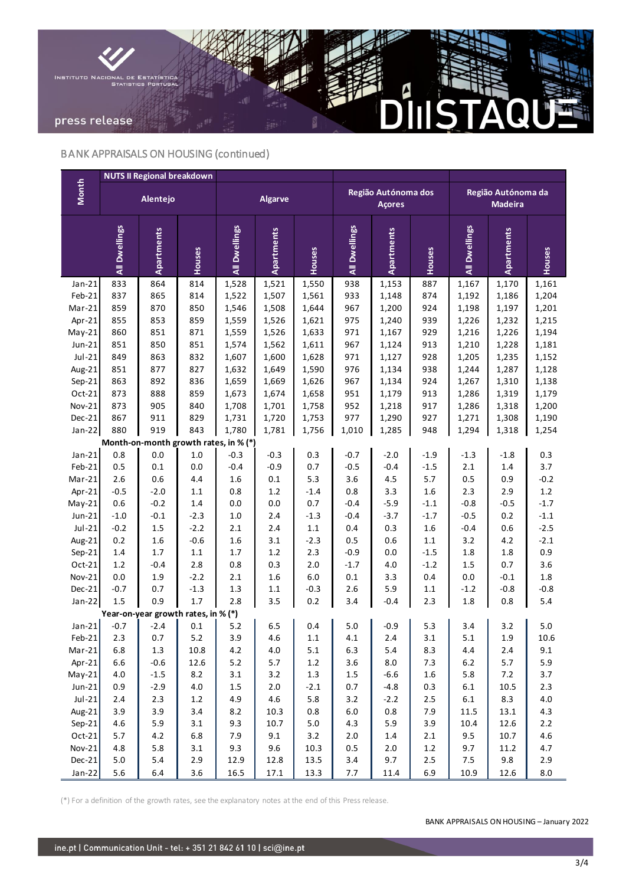

# BANK APPRAISALS ON HOUSING (continued)

|                    | <b>NUTS II Regional breakdown</b> |                                              |                    |                   |            |         |                                      |            |         |                                      |                   |               |
|--------------------|-----------------------------------|----------------------------------------------|--------------------|-------------------|------------|---------|--------------------------------------|------------|---------|--------------------------------------|-------------------|---------------|
| <b>Month</b>       |                                   | Alentejo                                     |                    | <b>Algarve</b>    |            |         | Região Autónoma dos<br><b>Açores</b> |            |         | Região Autónoma da<br><b>Madeira</b> |                   |               |
|                    | All Dwellings                     | <b>Apartments</b>                            | Houses             | All Dwellings     | Apartments | Houses  | All Dwellings                        | Apartments | Houses  | All Dwellings                        | <b>Apartments</b> | Houses        |
| $Jan-21$           | 833                               | 864                                          | 814                | 1,528             | 1,521      | 1,550   | 938                                  | 1,153      | 887     | 1,167                                | 1,170             | 1,161         |
| Feb-21             | 837                               | 865                                          | 814                | 1,522             | 1,507      | 1,561   | 933                                  | 1,148      | 874     | 1,192                                | 1,186             | 1,204         |
| $Mar-21$           | 859                               | 870                                          | 850                | 1,546             | 1,508      | 1,644   | 967                                  | 1,200      | 924     | 1,198                                | 1,197             | 1,201         |
| Apr-21             | 855                               | 853                                          | 859                | 1,559             | 1,526      | 1,621   | 975                                  | 1,240      | 939     | 1,226                                | 1,232             | 1,215         |
| $May-21$           | 860                               | 851                                          | 871                | 1,559             | 1,526      | 1,633   | 971                                  | 1,167      | 929     | 1,216                                | 1,226             | 1,194         |
| $Jun-21$           | 851                               | 850                                          | 851                | 1,574             | 1,562      | 1,611   | 967                                  | 1,124      | 913     | 1,210                                | 1,228             | 1,181         |
| $Jul-21$           | 849                               | 863                                          | 832                | 1,607             | 1,600      | 1,628   | 971                                  | 1,127      | 928     | 1,205                                | 1,235             | 1,152         |
| Aug-21             | 851                               | 877                                          | 827                | 1,632             | 1,649      | 1,590   | 976                                  | 1,134      | 938     | 1,244                                | 1,287             | 1,128         |
| $Sep-21$           | 863                               | 892                                          | 836                | 1,659             | 1,669      | 1,626   | 967                                  | 1,134      | 924     | 1,267                                | 1,310             | 1,138         |
| Oct-21             | 873                               | 888                                          | 859                | 1,673             | 1,674      | 1,658   | 951                                  | 1,179      | 913     | 1,286                                | 1,319             | 1,179         |
| Nov-21             | 873                               | 905                                          | 840                | 1,708             | 1,701      | 1,758   | 952                                  | 1,218      | 917     | 1,286                                | 1,318             | 1,200         |
| Dec-21             | 867                               | 911                                          | 829                | 1,731             | 1,720      | 1,753   | 977                                  | 1,290      | 927     | 1,271                                | 1,308             | 1,190         |
| $Jan-22$           | 880                               | 919                                          | 843                | 1,780             | 1,781      | 1,756   | 1,010                                | 1,285      | 948     | 1,294                                | 1,318             | 1,254         |
| $Jan-21$           | 0.8                               | Month-on-month growth rates, in % (*)<br>0.0 | $1.0\,$            | $-0.3$            | $-0.3$     | 0.3     | $-0.7$                               | $-2.0$     | $-1.9$  | $-1.3$                               | $-1.8$            | 0.3           |
|                    |                                   |                                              |                    |                   | $-0.9$     | 0.7     | $-0.5$                               | $-0.4$     | $-1.5$  |                                      |                   |               |
| Feb-21<br>$Mar-21$ | 0.5<br>2.6                        | 0.1<br>0.6                                   | $0.0\,$<br>$4.4\,$ | $-0.4$<br>$1.6\,$ | $0.1\,$    | 5.3     | 3.6                                  | 4.5        | 5.7     | 2.1<br>0.5                           | 1.4<br>0.9        | 3.7<br>$-0.2$ |
| Apr-21             | $-0.5$                            | $-2.0$                                       | $1.1\,$            | 0.8               | $1.2\,$    | $-1.4$  | 0.8                                  | 3.3        | 1.6     | 2.3                                  | 2.9               | $1.2\,$       |
| $May-21$           | 0.6                               | $-0.2$                                       | 1.4                | 0.0               | 0.0        | 0.7     | $-0.4$                               | $-5.9$     | $-1.1$  | $-0.8$                               | $-0.5$            | $-1.7$        |
| $Jun-21$           | $-1.0$                            | $-0.1$                                       | $-2.3$             | $1.0\,$           | 2.4        | $-1.3$  | $-0.4$                               | $-3.7$     | $-1.7$  | $-0.5$                               | 0.2               | $-1.1$        |
| $Jul-21$           | $-0.2$                            | 1.5                                          | $-2.2$             | 2.1               | 2.4        | $1.1\,$ | 0.4                                  | 0.3        | 1.6     | $-0.4$                               | 0.6               | $-2.5$        |
| Aug-21             | 0.2                               | 1.6                                          | $-0.6$             | 1.6               | 3.1        | $-2.3$  | 0.5                                  | 0.6        | $1.1\,$ | 3.2                                  | 4.2               | $-2.1$        |
| $Sep-21$           | 1.4                               | 1.7                                          | 1.1                | 1.7               | 1.2        | 2.3     | $-0.9$                               | 0.0        | $-1.5$  | 1.8                                  | 1.8               | 0.9           |
| Oct-21             | $1.2\,$                           | $-0.4$                                       | 2.8                | 0.8               | 0.3        | 2.0     | $-1.7$                               | $4.0\,$    | $-1.2$  | $1.5\,$                              | 0.7               | 3.6           |
| Nov-21             | 0.0                               | 1.9                                          | $-2.2$             | 2.1               | 1.6        | $6.0\,$ | $0.1\,$                              | 3.3        | 0.4     | 0.0                                  | $-0.1$            | 1.8           |
| Dec-21             | $-0.7$                            | 0.7                                          | $-1.3$             | 1.3               | 1.1        | $-0.3$  | 2.6                                  | 5.9        | 1.1     | $-1.2$                               | $-0.8$            | $-0.8$        |
| $Jan-22$           | $1.5\,$                           | 0.9                                          | 1.7                | 2.8               | 3.5        | 0.2     | 3.4                                  | $-0.4$     | 2.3     | 1.8                                  | 0.8               | 5.4           |
|                    |                                   | Year-on-year growth rates, in % (*)          |                    |                   |            |         |                                      |            |         |                                      |                   |               |
| $Jan-21$           | $-0.7$                            | $-2.4$                                       | 0.1                | 5.2               | 6.5        | 0.4     | 5.0                                  | $-0.9$     | 5.3     | 3.4                                  | 3.2               | 5.0           |
| $Feb-21$           | 2.3                               | 0.7                                          | $5.2$              | 3.9               | 4.6        | $1.1\,$ | 4.1                                  | 2.4        | 3.1     | 5.1                                  | 1.9               | 10.6          |
| Mar-21             | 6.8                               | $1.3\,$                                      | 10.8               | $4.2\,$           | $4.0\,$    | 5.1     | $6.3\,$                              | 5.4        | 8.3     | 4.4                                  | $2.4\,$           | 9.1           |
| Apr-21             | 6.6                               | $-0.6$                                       | 12.6               | $5.2$             | 5.7        | $1.2\,$ | 3.6                                  | $\bf 8.0$  | 7.3     | $6.2$                                | $5.7$             | 5.9           |
| $May-21$           | $4.0\,$                           | $-1.5$                                       | 8.2                | 3.1               | 3.2        | $1.3\,$ | $1.5\,$                              | $-6.6$     | $1.6\,$ | 5.8                                  | $7.2$             | 3.7           |
| $Jun-21$           | 0.9                               | $-2.9$                                       | $4.0\,$            | 1.5               | $2.0\,$    | $-2.1$  | 0.7                                  | $-4.8$     | 0.3     | $6.1\,$                              | 10.5              | $2.3$         |
| $Jul-21$           | 2.4                               | 2.3                                          | $1.2\,$            | 4.9               | 4.6        | 5.8     | 3.2                                  | $-2.2$     | $2.5\,$ | $6.1\,$                              | 8.3               | $4.0\,$       |
| Aug-21             | 3.9                               | 3.9                                          | 3.4                | $8.2\,$           | 10.3       | $0.8\,$ | $6.0\,$                              | $0.8\,$    | 7.9     | 11.5                                 | 13.1              | 4.3           |
| $Sep-21$           | $4.6\,$                           | 5.9                                          | 3.1                | 9.3               | 10.7       | $5.0\,$ | 4.3                                  | 5.9        | 3.9     | 10.4                                 | 12.6              | $2.2\,$       |
| Oct-21             | 5.7                               | $4.2\,$                                      | $6.8\,$            | 7.9               | 9.1        | 3.2     | $2.0\,$                              | $1.4\,$    | $2.1\,$ | 9.5                                  | 10.7              | $4.6\,$       |
| Nov-21             | 4.8                               | 5.8                                          | 3.1                | 9.3               | 9.6        | 10.3    | $0.5\,$                              | $2.0\,$    | $1.2\,$ | 9.7                                  | 11.2              | 4.7           |
| $Dec-21$           | $5.0\,$                           | 5.4                                          | 2.9                | 12.9              | 12.8       | 13.5    | $3.4$                                | 9.7        | $2.5\,$ | 7.5                                  | 9.8               | 2.9           |
| $Jan-22$           | 5.6                               | $6.4$                                        | 3.6                | 16.5              | 17.1       | 13.3    | 7.7                                  | 11.4       | 6.9     | 10.9                                 | 12.6              | $8.0\,$       |

(\*) For a definition of the growth rates, see the explanatory notes at the end of this Press release.